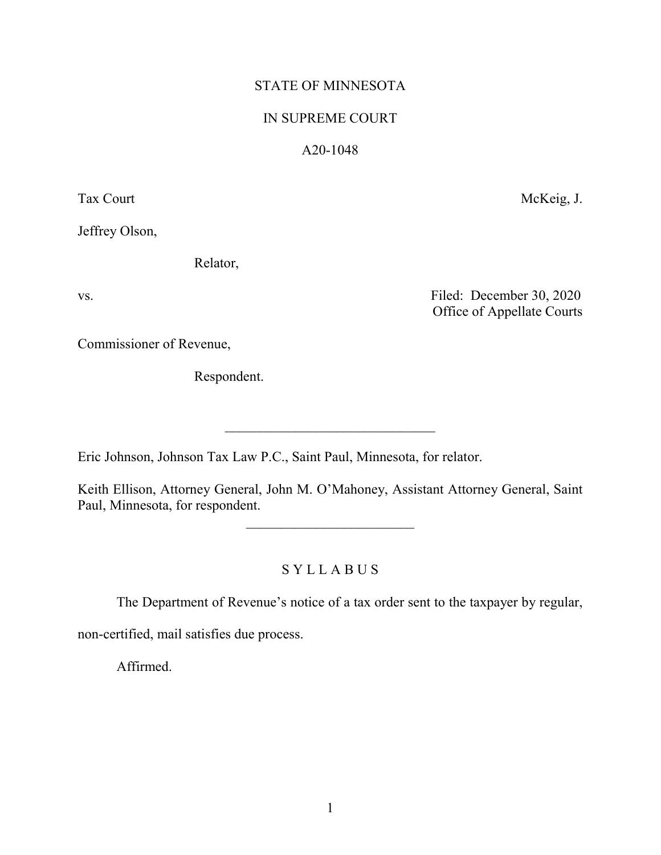# STATE OF MINNESOTA

## IN SUPREME COURT

# A20-1048

Tax Court McKeig, J.

Jeffrey Olson,

Relator,

vs. Filed: December 30, 2020 Office of Appellate Courts

Commissioner of Revenue,

Respondent.

Eric Johnson, Johnson Tax Law P.C., Saint Paul, Minnesota, for relator.

Keith Ellison, Attorney General, John M. O'Mahoney, Assistant Attorney General, Saint Paul, Minnesota, for respondent.

 $\overline{\phantom{a}}$  , where  $\overline{\phantom{a}}$  , where  $\overline{\phantom{a}}$  , where  $\overline{\phantom{a}}$  , where  $\overline{\phantom{a}}$ 

\_\_\_\_\_\_\_\_\_\_\_\_\_\_\_\_\_\_\_\_\_\_\_\_\_\_\_\_\_\_

S Y L L A B U S

The Department of Revenue's notice of a tax order sent to the taxpayer by regular,

non-certified, mail satisfies due process.

Affirmed.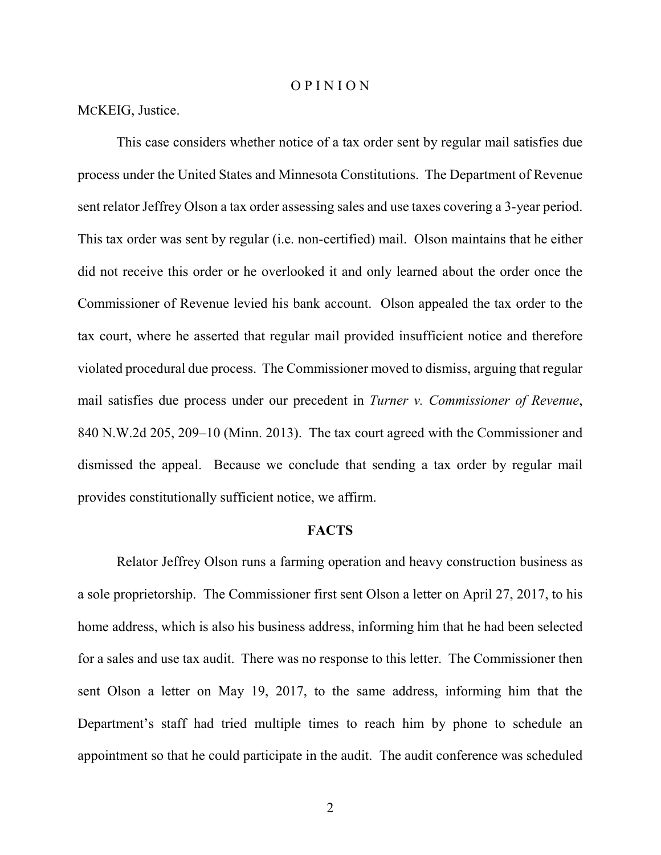#### O P I N I O N

## MCKEIG, Justice.

This case considers whether notice of a tax order sent by regular mail satisfies due process under the United States and Minnesota Constitutions. The Department of Revenue sent relator Jeffrey Olson a tax order assessing sales and use taxes covering a 3-year period. This tax order was sent by regular (i.e. non-certified) mail. Olson maintains that he either did not receive this order or he overlooked it and only learned about the order once the Commissioner of Revenue levied his bank account. Olson appealed the tax order to the tax court, where he asserted that regular mail provided insufficient notice and therefore violated procedural due process. The Commissioner moved to dismiss, arguing that regular mail satisfies due process under our precedent in *Turner v. Commissioner of Revenue*, 840 N.W.2d 205, 209–10 (Minn. 2013). The tax court agreed with the Commissioner and dismissed the appeal. Because we conclude that sending a tax order by regular mail provides constitutionally sufficient notice, we affirm.

## **FACTS**

Relator Jeffrey Olson runs a farming operation and heavy construction business as a sole proprietorship. The Commissioner first sent Olson a letter on April 27, 2017, to his home address, which is also his business address, informing him that he had been selected for a sales and use tax audit. There was no response to this letter. The Commissioner then sent Olson a letter on May 19, 2017, to the same address, informing him that the Department's staff had tried multiple times to reach him by phone to schedule an appointment so that he could participate in the audit. The audit conference was scheduled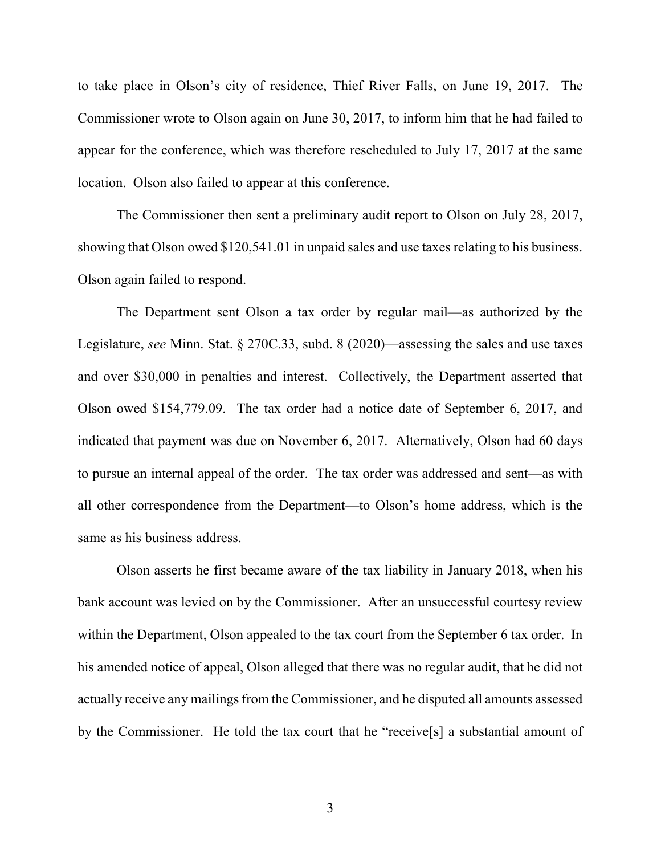to take place in Olson's city of residence, Thief River Falls, on June 19, 2017. The Commissioner wrote to Olson again on June 30, 2017, to inform him that he had failed to appear for the conference, which was therefore rescheduled to July 17, 2017 at the same location. Olson also failed to appear at this conference.

The Commissioner then sent a preliminary audit report to Olson on July 28, 2017, showing that Olson owed \$120,541.01 in unpaid sales and use taxes relating to his business. Olson again failed to respond.

The Department sent Olson a tax order by regular mail—as authorized by the Legislature, *see* Minn. Stat. § 270C.33, subd. 8 (2020)—assessing the sales and use taxes and over \$30,000 in penalties and interest. Collectively, the Department asserted that Olson owed \$154,779.09. The tax order had a notice date of September 6, 2017, and indicated that payment was due on November 6, 2017. Alternatively, Olson had 60 days to pursue an internal appeal of the order. The tax order was addressed and sent—as with all other correspondence from the Department—to Olson's home address, which is the same as his business address.

Olson asserts he first became aware of the tax liability in January 2018, when his bank account was levied on by the Commissioner. After an unsuccessful courtesy review within the Department, Olson appealed to the tax court from the September 6 tax order. In his amended notice of appeal, Olson alleged that there was no regular audit, that he did not actually receive any mailings from the Commissioner, and he disputed all amounts assessed by the Commissioner. He told the tax court that he "receive[s] a substantial amount of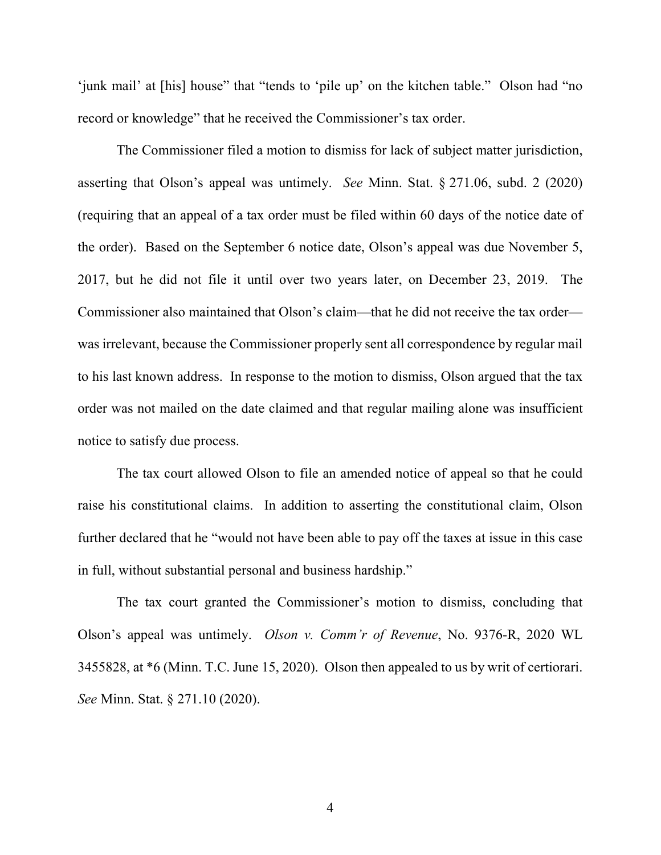'junk mail' at [his] house" that "tends to 'pile up' on the kitchen table." Olson had "no record or knowledge" that he received the Commissioner's tax order.

The Commissioner filed a motion to dismiss for lack of subject matter jurisdiction, asserting that Olson's appeal was untimely. *See* Minn. Stat. § 271.06, subd. 2 (2020) (requiring that an appeal of a tax order must be filed within 60 days of the notice date of the order). Based on the September 6 notice date, Olson's appeal was due November 5, 2017, but he did not file it until over two years later, on December 23, 2019. The Commissioner also maintained that Olson's claim—that he did not receive the tax order was irrelevant, because the Commissioner properly sent all correspondence by regular mail to his last known address. In response to the motion to dismiss, Olson argued that the tax order was not mailed on the date claimed and that regular mailing alone was insufficient notice to satisfy due process.

The tax court allowed Olson to file an amended notice of appeal so that he could raise his constitutional claims. In addition to asserting the constitutional claim, Olson further declared that he "would not have been able to pay off the taxes at issue in this case in full, without substantial personal and business hardship."

The tax court granted the Commissioner's motion to dismiss, concluding that Olson's appeal was untimely. *Olson v. Comm'r of Revenue*, No. 9376-R, 2020 WL 3455828, at \*6 (Minn. T.C. June 15, 2020). Olson then appealed to us by writ of certiorari. *See* Minn. Stat. § 271.10 (2020).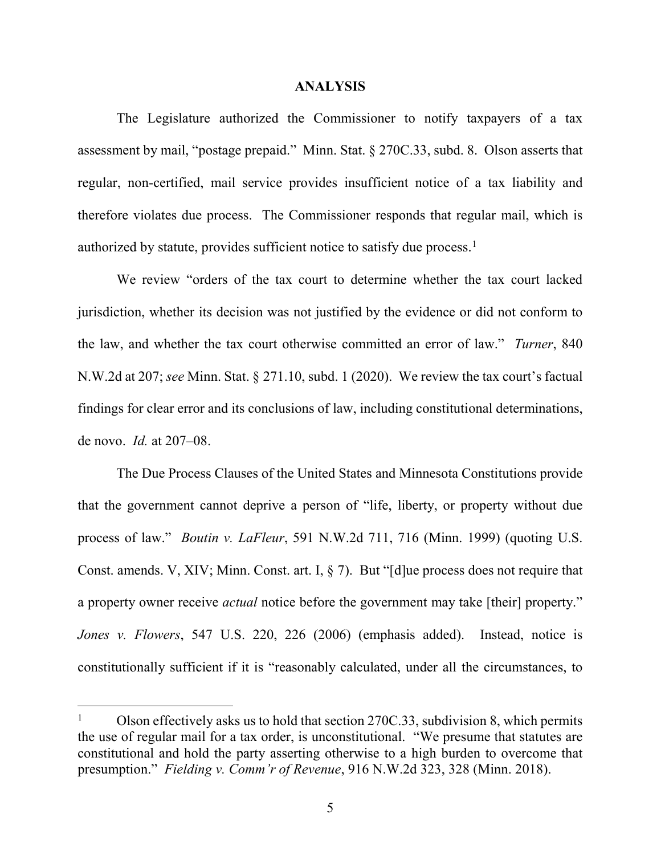### **ANALYSIS**

The Legislature authorized the Commissioner to notify taxpayers of a tax assessment by mail, "postage prepaid." Minn. Stat. § 270C.33, subd. 8. Olson asserts that regular, non-certified, mail service provides insufficient notice of a tax liability and therefore violates due process. The Commissioner responds that regular mail, which is authorized by statute, provides sufficient notice to satisfy due process.<sup>[1](#page-4-0)</sup>

We review "orders of the tax court to determine whether the tax court lacked jurisdiction, whether its decision was not justified by the evidence or did not conform to the law, and whether the tax court otherwise committed an error of law." *Turner*, 840 N.W.2d at 207; *see* Minn. Stat. § 271.10, subd. 1 (2020). We review the tax court's factual findings for clear error and its conclusions of law, including constitutional determinations, de novo. *Id.* at 207–08.

The Due Process Clauses of the United States and Minnesota Constitutions provide that the government cannot deprive a person of "life, liberty, or property without due process of law." *Boutin v. LaFleur*, 591 N.W.2d 711, 716 (Minn. 1999) (quoting U.S. Const. amends. V, XIV; Minn. Const. art. I, § 7). But "[d]ue process does not require that a property owner receive *actual* notice before the government may take [their] property." *Jones v. Flowers*, 547 U.S. 220, 226 (2006) (emphasis added). Instead, notice is constitutionally sufficient if it is "reasonably calculated, under all the circumstances, to

<span id="page-4-0"></span><sup>&</sup>lt;sup>1</sup> Olson effectively asks us to hold that section 270C.33, subdivision 8, which permits the use of regular mail for a tax order, is unconstitutional. "We presume that statutes are constitutional and hold the party asserting otherwise to a high burden to overcome that presumption." *Fielding v. Comm'r of Revenue*, 916 N.W.2d 323, 328 (Minn. 2018).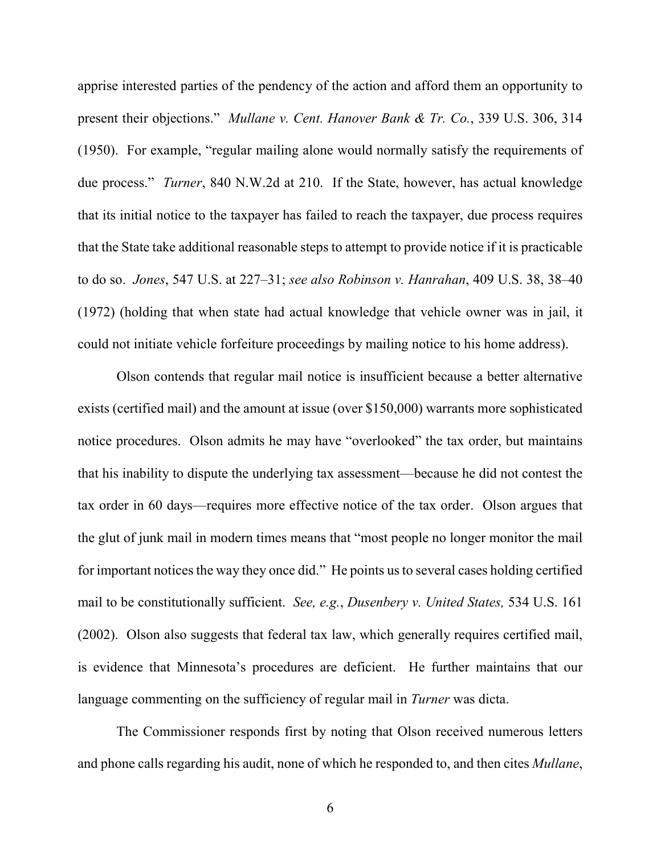apprise interested parties of the pendency of the action and afford them an opportunity to present their objections." *Mullane v. Cent. Hanover Bank & Tr. Co.*, 339 U.S. 306, 314 (1950). For example, "regular mailing alone would normally satisfy the requirements of due process." *Turner*, 840 N.W.2d at 210. If the State, however, has actual knowledge that its initial notice to the taxpayer has failed to reach the taxpayer, due process requires that the State take additional reasonable steps to attempt to provide notice if it is practicable to do so. *Jones*, 547 U.S. at 227–31; *see also Robinson v. Hanrahan*, 409 U.S. 38, 38–40 (1972) (holding that when state had actual knowledge that vehicle owner was in jail, it could not initiate vehicle forfeiture proceedings by mailing notice to his home address).

Olson contends that regular mail notice is insufficient because a better alternative exists (certified mail) and the amount at issue (over \$150,000) warrants more sophisticated notice procedures. Olson admits he may have "overlooked" the tax order, but maintains that his inability to dispute the underlying tax assessment—because he did not contest the tax order in 60 days—requires more effective notice of the tax order. Olson argues that the glut of junk mail in modern times means that "most people no longer monitor the mail for important notices the way they once did." He points us to several cases holding certified mail to be constitutionally sufficient. *See, e.g.*, *Dusenbery v. United States,* 534 U.S. 161 (2002). Olson also suggests that federal tax law, which generally requires certified mail, is evidence that Minnesota's procedures are deficient. He further maintains that our language commenting on the sufficiency of regular mail in *Turner* was dicta.

The Commissioner responds first by noting that Olson received numerous letters and phone calls regarding his audit, none of which he responded to, and then cites *Mullane*,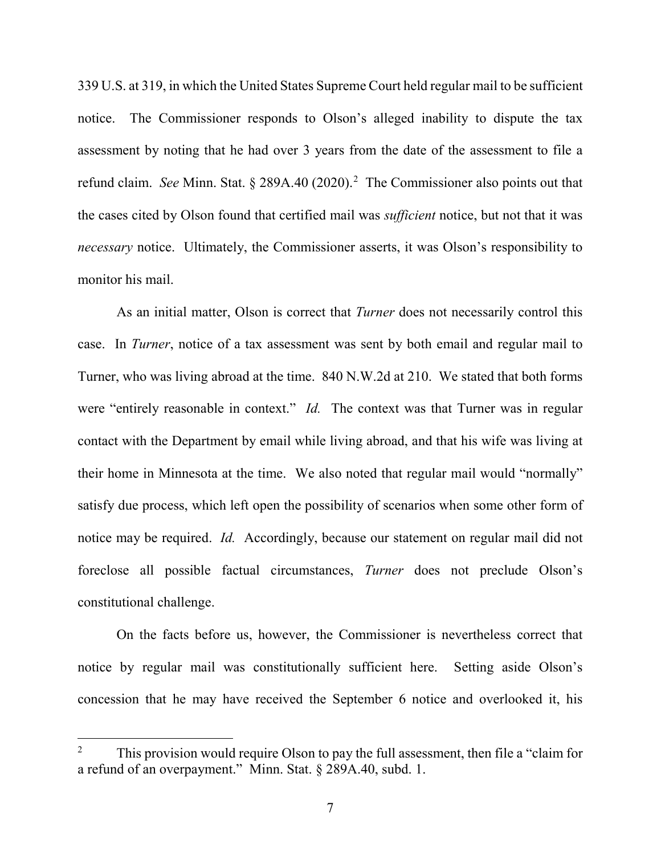339 U.S. at 319, in which the United States Supreme Court held regular mail to be sufficient notice. The Commissioner responds to Olson's alleged inability to dispute the tax assessment by noting that he had over 3 years from the date of the assessment to file a refund claim. See Minn. Stat. § [2](#page-6-0)89A.40 (2020).<sup>2</sup> The Commissioner also points out that the cases cited by Olson found that certified mail was *sufficient* notice, but not that it was *necessary* notice. Ultimately, the Commissioner asserts, it was Olson's responsibility to monitor his mail.

As an initial matter, Olson is correct that *Turner* does not necessarily control this case. In *Turner*, notice of a tax assessment was sent by both email and regular mail to Turner, who was living abroad at the time. 840 N.W.2d at 210. We stated that both forms were "entirely reasonable in context." *Id.* The context was that Turner was in regular contact with the Department by email while living abroad, and that his wife was living at their home in Minnesota at the time. We also noted that regular mail would "normally" satisfy due process, which left open the possibility of scenarios when some other form of notice may be required. *Id.* Accordingly, because our statement on regular mail did not foreclose all possible factual circumstances, *Turner* does not preclude Olson's constitutional challenge.

On the facts before us, however, the Commissioner is nevertheless correct that notice by regular mail was constitutionally sufficient here. Setting aside Olson's concession that he may have received the September 6 notice and overlooked it, his

<span id="page-6-0"></span><sup>&</sup>lt;sup>2</sup> This provision would require Olson to pay the full assessment, then file a "claim for a refund of an overpayment." Minn. Stat. § 289A.40, subd. 1.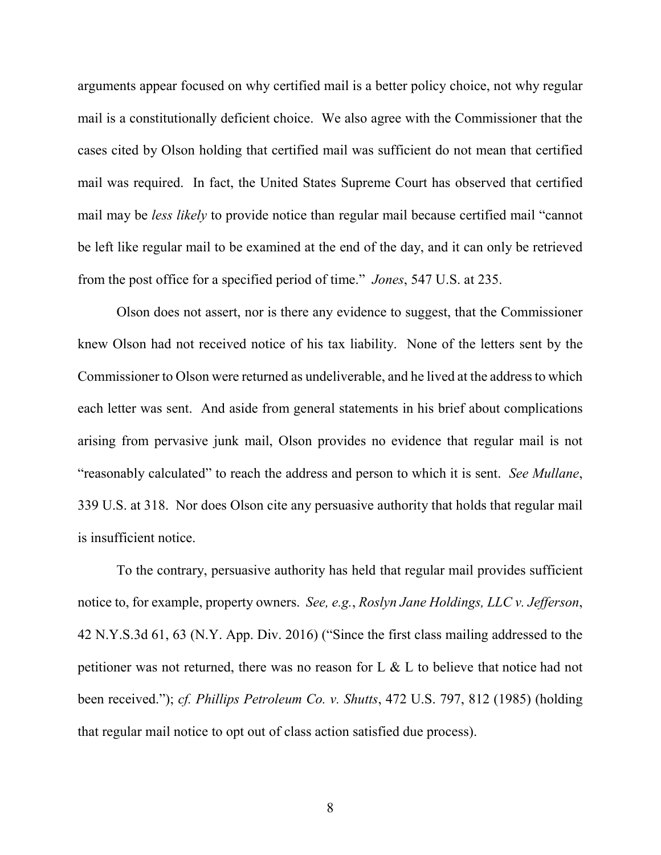arguments appear focused on why certified mail is a better policy choice, not why regular mail is a constitutionally deficient choice. We also agree with the Commissioner that the cases cited by Olson holding that certified mail was sufficient do not mean that certified mail was required. In fact, the United States Supreme Court has observed that certified mail may be *less likely* to provide notice than regular mail because certified mail "cannot be left like regular mail to be examined at the end of the day, and it can only be retrieved from the post office for a specified period of time." *Jones*, 547 U.S. at 235.

Olson does not assert, nor is there any evidence to suggest, that the Commissioner knew Olson had not received notice of his tax liability. None of the letters sent by the Commissioner to Olson were returned as undeliverable, and he lived at the address to which each letter was sent. And aside from general statements in his brief about complications arising from pervasive junk mail, Olson provides no evidence that regular mail is not "reasonably calculated" to reach the address and person to which it is sent. *See Mullane*, 339 U.S. at 318. Nor does Olson cite any persuasive authority that holds that regular mail is insufficient notice.

To the contrary, persuasive authority has held that regular mail provides sufficient notice to, for example, property owners. *See, e.g.*, *Roslyn Jane Holdings, LLC v. Jefferson*, 42 N.Y.S.3d 61, 63 (N.Y. App. Div. 2016) ("Since the first class mailing addressed to the petitioner was not returned, there was no reason for L & L to believe that notice had not been received."); *cf. Phillips Petroleum Co. v. Shutts*, 472 U.S. 797, 812 (1985) (holding that regular mail notice to opt out of class action satisfied due process).